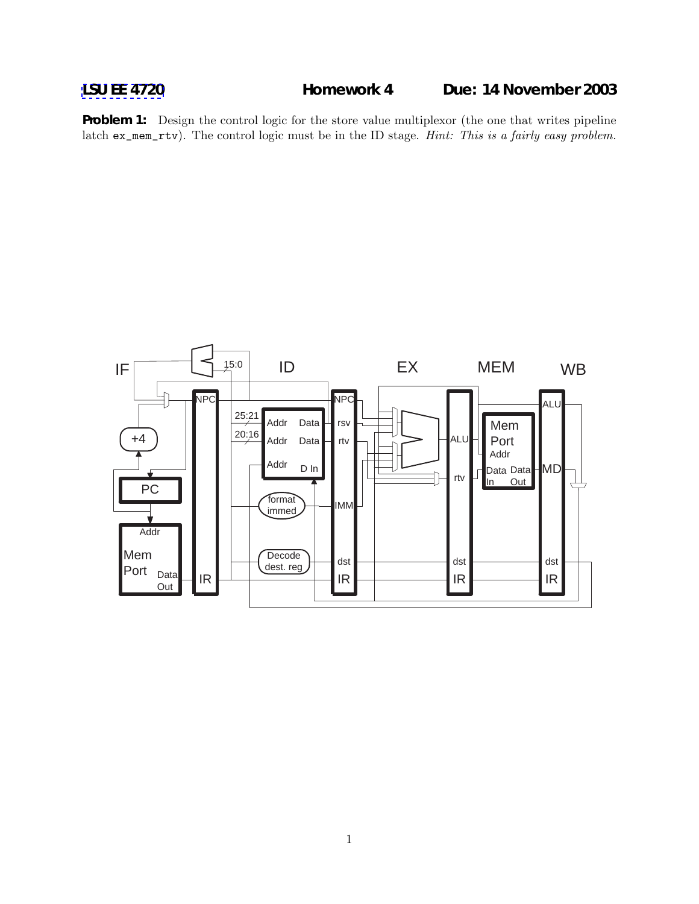**Problem 1:** Design the control logic for the store value multiplexor (the one that writes pipeline latch ex\_mem\_rtv). The control logic must be in the ID stage. *Hint: This is a fairly easy problem.*

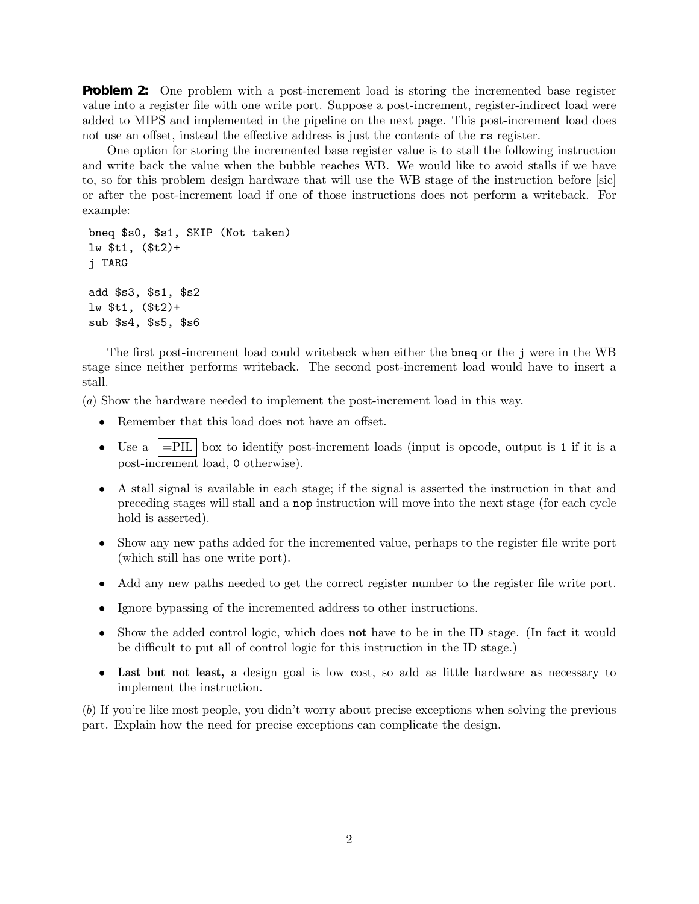**Problem 2:** One problem with a post-increment load is storing the incremented base register value into a register file with one write port. Suppose a post-increment, register-indirect load were added to MIPS and implemented in the pipeline on the next page. This post-increment load does not use an offset, instead the effective address is just the contents of the rs register.

One option for storing the incremented base register value is to stall the following instruction and write back the value when the bubble reaches WB. We would like to avoid stalls if we have to, so for this problem design hardware that will use the WB stage of the instruction before [sic] or after the post-increment load if one of those instructions does not perform a writeback. For example:

```
bneq $s0, $s1, SKIP (Not taken)
lw $t1, ($t2)+
j TARG
add $s3, $s1, $s2
lw $t1, ($t2)+
sub $s4, $s5, $s6
```
The first post-increment load could writeback when either the bneq or the j were in the WB stage since neither performs writeback. The second post-increment load would have to insert a stall.

(*a*) Show the hardware needed to implement the post-increment load in this way.

- Remember that this load does not have an offset.
- Use a  $=$ PIL box to identify post-increment loads (input is opcode, output is 1 if it is a post-increment load, 0 otherwise).
- A stall signal is available in each stage; if the signal is asserted the instruction in that and preceding stages will stall and a nop instruction will move into the next stage (for each cycle hold is asserted).
- Show any new paths added for the incremented value, perhaps to the register file write port (which still has one write port).
- Add any new paths needed to get the correct register number to the register file write port.
- Ignore bypassing of the incremented address to other instructions.
- Show the added control logic, which does **not** have to be in the ID stage. (In fact it would be difficult to put all of control logic for this instruction in the ID stage.)
- **Last but not least,** a design goal is low cost, so add as little hardware as necessary to implement the instruction.

(*b*) If you're like most people, you didn't worry about precise exceptions when solving the previous part. Explain how the need for precise exceptions can complicate the design.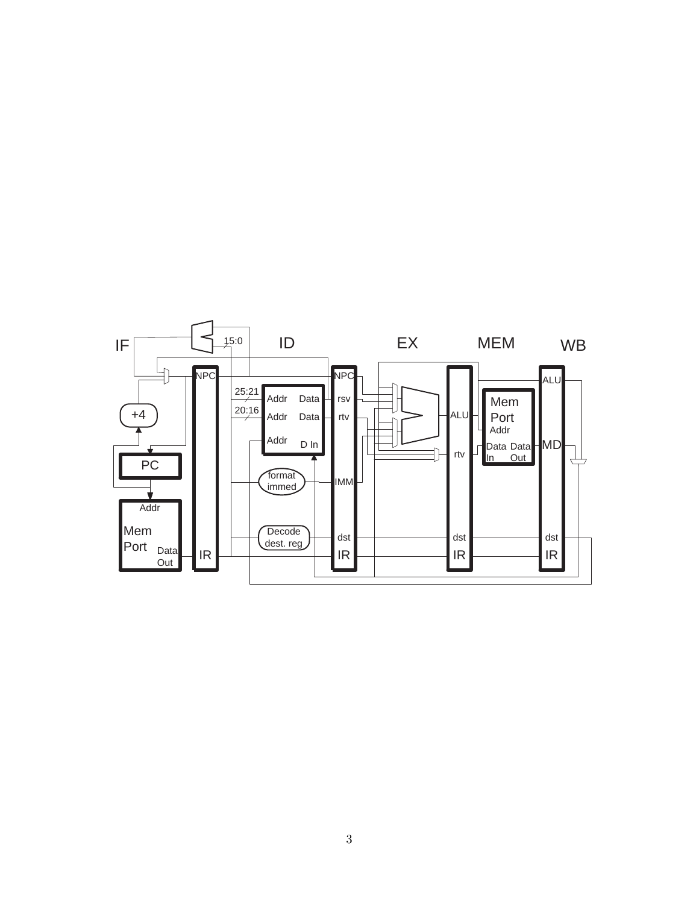